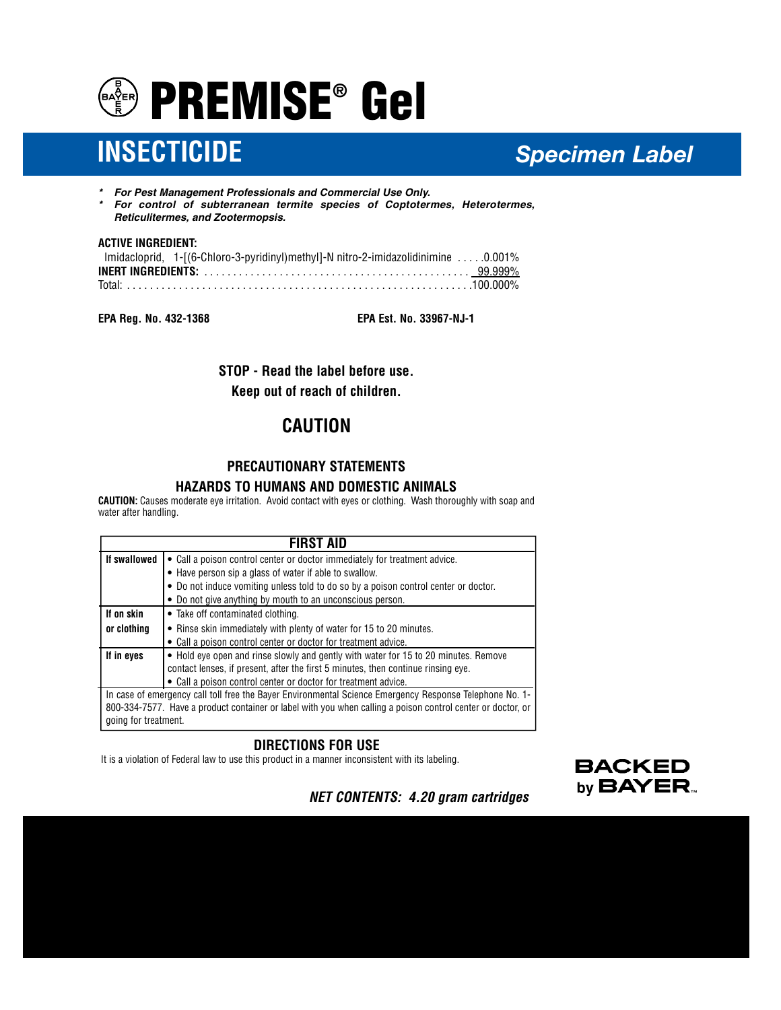

# **INSECTICIDE** *Specimen Label*

- *\* For Pest Management Professionals and Commercial Use Only.*
- *\* For control of subterranean termite species of Coptotermes, Heterotermes, Reticulitermes, and Zootermopsis.*

#### **ACTIVE INGREDIENT:**

| lmidacloprid, 1-[(6-Chloro-3-pyridinyl)methyl]-N nitro-2-imidazolidinimine 0.001% |  |
|-----------------------------------------------------------------------------------|--|
|                                                                                   |  |
|                                                                                   |  |

**EPA Reg. No. 432-1368 EPA Est. No. 33967-NJ-1**

**STOP - Read the label before use.**

**Keep out of reach of children.**

# **CAUTION**

# **PRECAUTIONARY STATEMENTS HAZARDS TO HUMANS AND DOMESTIC ANIMALS**

**CAUTION:** Causes moderate eye irritation. Avoid contact with eyes or clothing. Wash thoroughly with soap and water after handling.

| FIRST AID                                                                                                   |                                                                                     |
|-------------------------------------------------------------------------------------------------------------|-------------------------------------------------------------------------------------|
| If swallowed                                                                                                | • Call a poison control center or doctor immediately for treatment advice.          |
|                                                                                                             | • Have person sip a glass of water if able to swallow.                              |
|                                                                                                             | • Do not induce vomiting unless told to do so by a poison control center or doctor. |
|                                                                                                             | • Do not give anything by mouth to an unconscious person.                           |
| If on skin                                                                                                  | • Take off contaminated clothing.                                                   |
| or clothing                                                                                                 | • Rinse skin immediately with plenty of water for 15 to 20 minutes.                 |
|                                                                                                             | • Call a poison control center or doctor for treatment advice.                      |
| If in eyes                                                                                                  | • Hold eye open and rinse slowly and gently with water for 15 to 20 minutes. Remove |
|                                                                                                             | contact lenses, if present, after the first 5 minutes, then continue rinsing eye.   |
|                                                                                                             | • Call a poison control center or doctor for treatment advice.                      |
| In case of emergency call toll free the Bayer Environmental Science Emergency Response Telephone No. 1-     |                                                                                     |
| 800-334-7577. Have a product container or label with you when calling a poison control center or doctor, or |                                                                                     |
| going for treatment.                                                                                        |                                                                                     |

## **DIRECTIONS FOR USE**

It is a violation of Federal law to use this product in a manner inconsistent with its labeling.



*NET CONTENTS: 4.20 gram cartridges*